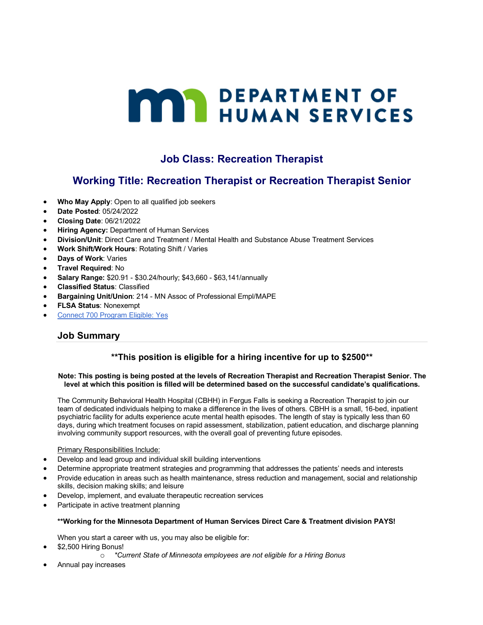# **MARY DEPARTMENT OF HUMAN SERVICES**

# **Job Class: Recreation Therapist**

# **Working Title: Recreation Therapist or Recreation Therapist Senior**

- **Who May Apply**: Open to all qualified job seekers
- **Date Posted**: 05/24/2022
- **Closing Date**: 06/21/2022
- **Hiring Agency:** Department of Human Services
- **Division/Unit**: Direct Care and Treatment / Mental Health and Substance Abuse Treatment Services
- **Work Shift/Work Hours**: Rotating Shift / Varies
- **Days of Work**: Varies
- **Travel Required**: No
- **Salary Range:** \$20.91 \$30.24/hourly; \$43,660 \$63,141/annually
- **Classified Status**: Classified
- **Bargaining Unit/Union**: 214 MN Assoc of Professional Empl/MAPE
- **FLSA Status**: Nonexempt
- Connect 700 Program Eligible: Yes

## **Job Summary**

## **\*\*This position is eligible for a hiring incentive for up to \$2500\*\***

#### **Note: This posting is being posted at the levels of Recreation Therapist and Recreation Therapist Senior. The level at which this position is filled will be determined based on the successful candidate's qualifications.**

The Community Behavioral Health Hospital (CBHH) in Fergus Falls is seeking a Recreation Therapist to join our team of dedicated individuals helping to make a difference in the lives of others. CBHH is a small, 16-bed, inpatient psychiatric facility for adults experience acute mental health episodes. The length of stay is typically less than 60 days, during which treatment focuses on rapid assessment, stabilization, patient education, and discharge planning involving community support resources, with the overall goal of preventing future episodes.

#### Primary Responsibilities Include:

- Develop and lead group and individual skill building interventions
- Determine appropriate treatment strategies and programming that addresses the patients' needs and interests
- Provide education in areas such as health maintenance, stress reduction and management, social and relationship skills, decision making skills; and leisure
- Develop, implement, and evaluate therapeutic recreation services
- Participate in active treatment planning

#### **\*\*Working for the Minnesota Department of Human Services Direct Care & Treatment division PAYS!**

When you start a career with us, you may also be eligible for:

- \$2,500 Hiring Bonus!
	- o *\*Current State of Minnesota employees are not eligible for a Hiring Bonus*
- Annual pay increases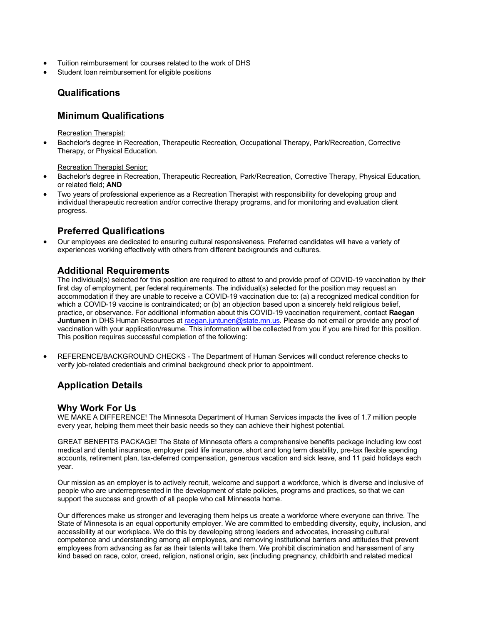- Tuition reimbursement for courses related to the work of DHS
- Student loan reimbursement for eligible positions

## **Qualifications**

#### **Minimum Qualifications**

Recreation Therapist:

• Bachelor's degree in Recreation, Therapeutic Recreation, Occupational Therapy, Park/Recreation, Corrective Therapy, or Physical Education.

Recreation Therapist Senior:

- Bachelor's degree in Recreation, Therapeutic Recreation, Park/Recreation, Corrective Therapy, Physical Education, or related field; **AND**
- Two years of professional experience as a Recreation Therapist with responsibility for developing group and individual therapeutic recreation and/or corrective therapy programs, and for monitoring and evaluation client progress.

# **Preferred Qualifications**

• Our employees are dedicated to ensuring cultural responsiveness. Preferred candidates will have a variety of experiences working effectively with others from different backgrounds and cultures.

#### **Additional Requirements**

The individual(s) selected for this position are required to attest to and provide proof of COVID-19 vaccination by their first day of employment, per federal requirements. The individual(s) selected for the position may request an accommodation if they are unable to receive a COVID-19 vaccination due to: (a) a recognized medical condition for which a COVID-19 vaccine is contraindicated; or (b) an objection based upon a sincerely held religious belief, practice, or observance. For additional information about this COVID-19 vaccination requirement, contact **Raegan Juntunen** in DHS Human Resources at raegan.juntunen@state.mn.us. Please do not email or provide any proof of vaccination with your application/resume. This information will be collected from you if you are hired for this position. This position requires successful completion of the following:

• REFERENCE/BACKGROUND CHECKS - The Department of Human Services will conduct reference checks to verify job-related credentials and criminal background check prior to appointment.

## **Application Details**

#### **Why Work For Us**

WE MAKE A DIFFERENCE! The Minnesota Department of Human Services impacts the lives of 1.7 million people every year, helping them meet their basic needs so they can achieve their highest potential.

GREAT BENEFITS PACKAGE! The State of Minnesota offers a comprehensive benefits package including low cost medical and dental insurance, employer paid life insurance, short and long term disability, pre-tax flexible spending accounts, retirement plan, tax-deferred compensation, generous vacation and sick leave, and 11 paid holidays each year.

Our mission as an employer is to actively recruit, welcome and support a workforce, which is diverse and inclusive of people who are underrepresented in the development of state policies, programs and practices, so that we can support the success and growth of all people who call Minnesota home.

Our differences make us stronger and leveraging them helps us create a workforce where everyone can thrive. The State of Minnesota is an equal opportunity employer. We are committed to embedding diversity, equity, inclusion, and accessibility at our workplace. We do this by developing strong leaders and advocates, increasing cultural competence and understanding among all employees, and removing institutional barriers and attitudes that prevent employees from advancing as far as their talents will take them. We prohibit discrimination and harassment of any kind based on race, color, creed, religion, national origin, sex (including pregnancy, childbirth and related medical